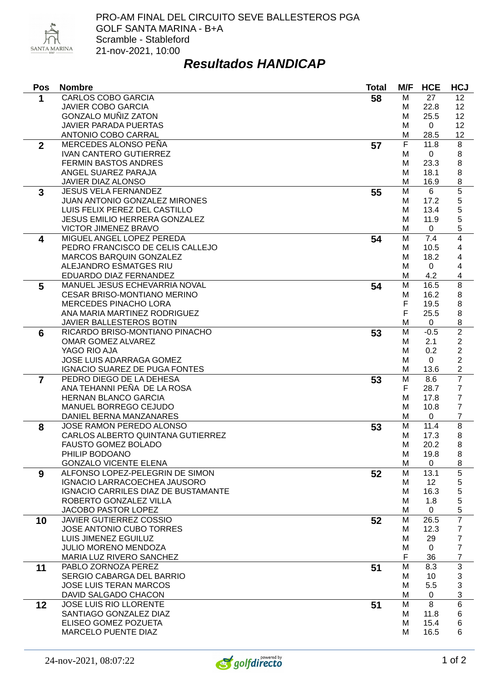

## *Resultados HANDICAP*

| Pos            | <b>Nombre</b>                                           | <b>Total</b> | M/F    | <b>HCE</b>   | <b>HCJ</b>               |
|----------------|---------------------------------------------------------|--------------|--------|--------------|--------------------------|
| 1              | <b>CARLOS COBO GARCIA</b>                               | 58           | M      | 27           | 12                       |
|                | <b>JAVIER COBO GARCIA</b>                               |              | M      | 22.8         | 12                       |
|                | <b>GONZALO MUÑIZ ZATON</b>                              |              | M      | 25.5         | 12                       |
|                | <b>JAVIER PARADA PUERTAS</b>                            |              | M      | $\Omega$     | 12                       |
|                | <b>ANTONIO COBO CARRAL</b>                              |              | M      | 28.5         | 12                       |
| $\overline{2}$ | <b>MERCEDES ALONSO PEÑA</b>                             | 57           | F      | 11.8         | 8                        |
|                | <b>IVAN CANTERO GUTIERREZ</b>                           |              | M      | $\mathbf 0$  | 8                        |
|                | <b>FERMIN BASTOS ANDRES</b>                             |              | M      | 23.3         | 8                        |
|                | ANGEL SUAREZ PARAJA                                     |              | M      | 18.1         | 8                        |
|                | JAVIER DIAZ ALONSO                                      |              | M      | 16.9         | 8                        |
| 3              | <b>JESUS VELA FERNANDEZ</b>                             | 55           | M      | 6            | $\overline{5}$           |
|                | <b>JUAN ANTONIO GONZALEZ MIRONES</b>                    |              | M      | 17.2         | 5                        |
|                | LUIS FELIX PEREZ DEL CASTILLO                           |              | M      | 13.4         | 5                        |
|                | <b>JESUS EMILIO HERRERA GONZALEZ</b>                    |              | M      | 11.9         | 5                        |
|                | VICTOR JIMENEZ BRAVO                                    |              | M      | $\mathbf{0}$ | 5                        |
| 4              | MIGUEL ANGEL LOPEZ PEREDA                               | 54           | M      | 7.4          | $\overline{\mathcal{A}}$ |
|                | PEDRO FRANCISCO DE CELIS CALLEJO                        |              | M      | 10.5         | 4                        |
|                | MARCOS BARQUIN GONZALEZ                                 |              | M      | 18.2         | 4                        |
|                | ALEJANDRO ESMATGES RIU                                  |              | M      | $\Omega$     | 4                        |
|                | EDUARDO DIAZ FERNANDEZ<br>MANUEL JESUS ECHEVARRIA NOVAL |              | M<br>M | 4.2          | 4<br>$\overline{8}$      |
| 5              | <b>CESAR BRISO-MONTIANO MERINO</b>                      | 54           |        | 16.5<br>16.2 |                          |
|                | <b>MERCEDES PINACHO LORA</b>                            |              | M<br>F | 19.5         | 8<br>8                   |
|                | ANA MARIA MARTINEZ RODRIGUEZ                            |              | F      | 25.5         | 8                        |
|                | JAVIER BALLESTEROS BOTIN                                |              | M      | 0            | 8                        |
| 6              | RICARDO BRISO-MONTIANO PINACHO                          | 53           | M      | $-0.5$       | $\overline{2}$           |
|                | OMAR GOMEZ ALVAREZ                                      |              | м      | 2.1          | $\overline{2}$           |
|                | YAGO RIO AJA                                            |              | M      | 0.2          | $\overline{c}$           |
|                | JOSE LUIS ADARRAGA GOMEZ                                |              | M      | 0            | $\overline{2}$           |
|                | IGNACIO SUAREZ DE PUGA FONTES                           |              | M      | 13.6         | $\overline{c}$           |
| 7              | PEDRO DIEGO DE LA DEHESA                                | 53           | M      | 8.6          | $\overline{7}$           |
|                | ANA TEHANNI PEÑA DE LA ROSA                             |              | F      | 28.7         | $\overline{7}$           |
|                | <b>HERNAN BLANCO GARCIA</b>                             |              | M      | 17.8         | $\overline{7}$           |
|                | MANUEL BORREGO CEJUDO                                   |              | M      | 10.8         | $\overline{7}$           |
|                | DANIEL BERNA MANZANARES                                 |              | M      | 0            | $\overline{7}$           |
| 8              | JOSE RAMON PEREDO ALONSO                                | 53           | M      | 11.4         | $\overline{8}$           |
|                | CARLOS ALBERTO QUINTANA GUTIERREZ                       |              | M      | 17.3         | 8                        |
|                | FAUSTO GOMEZ BOLADO                                     |              | M      | 20.2         | 8                        |
|                | PHILIP BODOANO                                          |              | M      | 19.8         | 8                        |
|                | <b>GONZALO VICENTE ELENA</b>                            |              | M      | 0            | 8                        |
| 9              | ALFONSO LOPEZ-PELEGRIN DE SIMON                         | 52           | M      | 13.1         | 5                        |
|                | <b>IGNACIO LARRACOECHEA JAUSORO</b>                     |              | м      | 12           | 5                        |
|                | <b>IGNACIO CARRILES DIAZ DE BUSTAMANTE</b>              |              | м      | 16.3         | 5                        |
|                | ROBERTO GONZALEZ VILLA                                  |              | M      | 1.8          | 5                        |
|                | JACOBO PASTOR LOPEZ                                     |              | M      | 0            | 5                        |
| 10             | <b>JAVIER GUTIERREZ COSSIO</b>                          | 52           | M      | 26.5         | $\overline{7}$           |
|                | JOSE ANTONIO CUBO TORRES                                |              | M      | 12.3         | $\overline{7}$           |
|                | LUIS JIMENEZ EGUILUZ                                    |              | M      | 29           | $\overline{7}$           |
|                | JULIO MORENO MENDOZA                                    |              | M      | $\Omega$     | $\overline{7}$           |
|                | MARIA LUZ RIVERO SANCHEZ                                |              | F      | 36           | $\boldsymbol{7}$         |
| 11             | PABLO ZORNOZA PEREZ                                     | 51           | M      | 8.3          | $\overline{3}$           |
|                | SERGIO CABARGA DEL BARRIO                               |              | M      | 10           | 3                        |
|                | <b>JOSE LUIS TERAN MARCOS</b>                           |              | M      | 5.5          | 3                        |
|                | DAVID SALGADO CHACON                                    |              | M      | 0            | 3                        |
| 12             | JOSE LUIS RIO LLORENTE                                  | 51           | M      | 8            | 6                        |
|                | SANTIAGO GONZALEZ DIAZ                                  |              | Μ      | 11.8         | 6                        |
|                | ELISEO GOMEZ POZUETA                                    |              | м      | 15.4         | 6                        |
|                | MARCELO PUENTE DIAZ                                     |              | м      | 16.5         | 6                        |